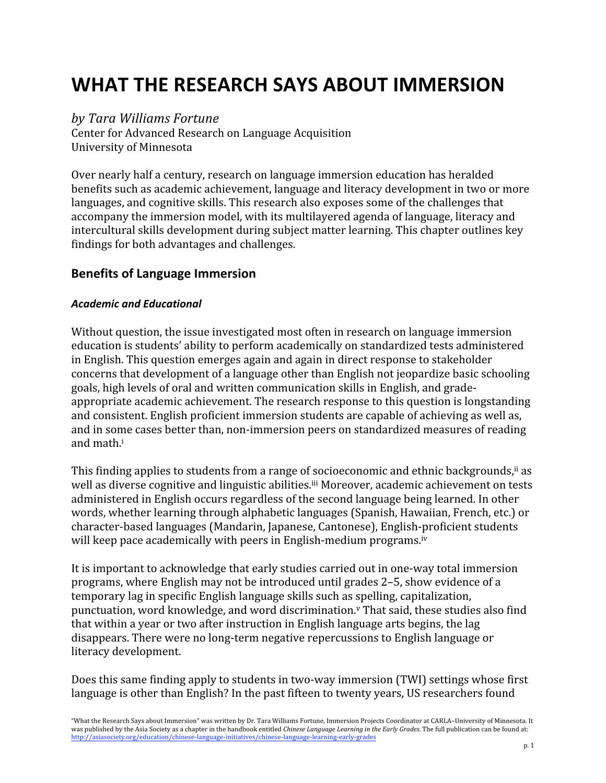# **WHAT
THE
RESEARCH
SAYS
ABOUT
IMMERSION**

### *by
Tara
Williams
Fortune*

Center
for
Advanced
Research
on
Language
Acquisition University
of
Minnesota

Over
nearly
half
a
century,
research
on
language
immersion
education
has
heralded benefits
such
as
academic
achievement,
language
and
literacy
development
in
two
or
more languages, and cognitive skills. This research also exposes some of the challenges that accompany
the
immersion
model,
with
its
multilayered
agenda
of
language,
literacy
and intercultural
skills
development
during
subject
matter
learning.
This
chapter
outlines
key findings
for
both
advantages
and
challenges.

## **Benefits
of
Language
Immersion**

#### *Academic
and
Educational*

Without question, the issue investigated most often in research on language immersion education
is
students'
ability
to
perform
academically
on
standardized
tests
administered in
English.
This
question
emerges
again
and
again
in
direct
response
to
stakeholder concerns
that
development
of
a
language
other
than
English
not
jeopardize
basic
schooling goals,
high
levels
of
oral
and
written
communication
skills
in
English,
and
grade‐ appropriate academic achievement. The research response to this question is longstanding and consistent. English proficient immersion students are capable of achieving as well as, and
in
some
cases
better
than,
non‐immersion
peers
on
standardized
measures
of
reading and
math.i

This finding applies to students from a range of socioeconomic and ethnic backgrounds,<sup>ii</sup> as well as diverse cognitive and linguistic abilities.<sup>iii</sup> Moreover, academic achievement on tests administered
in
English
occurs
regardless
of
the
second
language
being
learned.
In
other words, whether learning through alphabetic languages (Spanish, Hawaiian, French, etc.) or character‐based
languages
(Mandarin,
Japanese,
Cantonese),
English‐proficient students will keep pace academically with peers in English-medium programs.<sup>iv</sup>

It is important to acknowledge that early studies carried out in one-way total immersion programs,
where
English
may
not
be
introduced
until
grades
2–5,
show
evidence
of
a temporary
lag
in
specific
English
language
skills
such
as
spelling,
capitalization, punctuation,
word
knowledge,
and
word
discrimination.v That
said,
these
studies
also
find that
within
a
year
or
two
after
instruction in
English
language
arts
begins,
the
lag disappears.
There
were
no
long‐term
negative
repercussions
to
English
language
or literacy
development.

Does this same finding apply to students in two-way immersion (TWI) settings whose first language is other than English? In the past fifteen to twenty years, US researchers found

"What the Research Says about Immersion" was written by Dr. Tara Williams Fortune, Immersion Projects Coordinator at CARLA-University of Minnesota. It was published by the Asia Society as a chapter in the handbook entitled *Chinese Language Learning in the Early Grades*. The full publication can be found at: http://asiasociety.org/education/chinese‐language‐initiatives/chinese‐language‐learning‐early‐grades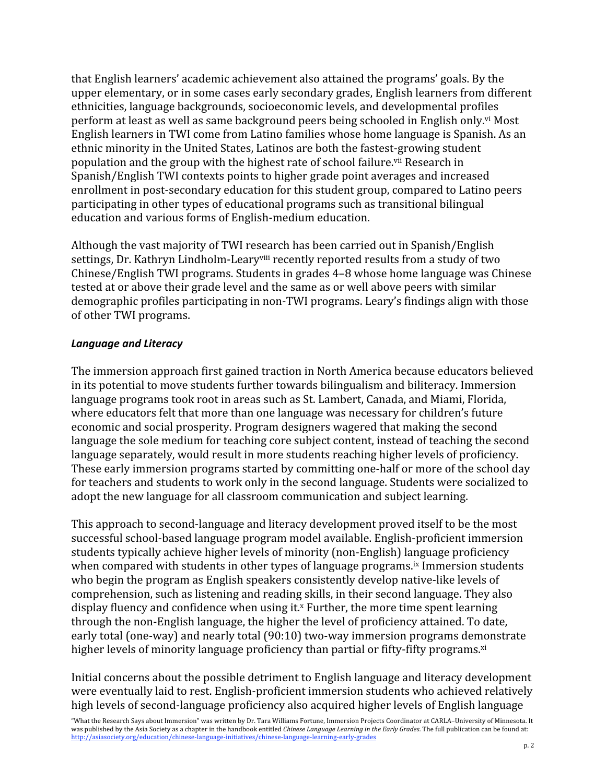that
English
learners'
academic
achievement
also
attained
the
programs'
goals.
By
the upper
elementary,
or
in
some
cases
early
secondary
grades,
English
learners
from
different ethnicities,
language
backgrounds,
socioeconomic
levels,
and
developmental
profiles perform
at
least
as
well
as
same
background
peers
being
schooled
in
English
only.vi Most English
learners
in
TWI
come
from
Latino
families
whose
home
language
is
Spanish.
As
an ethnic
minority
in
the
United
States,
Latinos
are
both
the
fastest‐growing
student population and the group with the highest rate of school failure.<sup>vii</sup> Research in Spanish/English TWI contexts points to higher grade point averages and increased enrollment in post-secondary education for this student group, compared to Latino peers participating
in
other
types
of
educational
programs
such
as
transitional
bilingual education
and
various
forms
of
English‐medium
education.

Although
the
vast
majority
of
TWI
research
has
been
carried
out
in
Spanish/English settings, Dr. Kathryn Lindholm-Leary<sup>viii</sup> recently reported results from a study of two Chinese/English
TWI
programs.
Students
in
grades
4–8
whose
home
language
was
Chinese tested
at
or
above
their
grade
level
and
the
same
as
or
well
above
peers
with
similar demographic profiles participating in non-TWI programs. Leary's findings align with those of
other
TWI
programs.

#### *Language
and
Literacy*

The
immersion
approach
first
gained
traction
in
North
America
because
educators
believed in
its
potential
to
move
students
further
towards
bilingualism
and
biliteracy.
Immersion language programs took root in areas such as St. Lambert, Canada, and Miami, Florida, where educators felt that more than one language was necessary for children's future economic
and
social
prosperity.
Program
designers
wagered
that
making
the
second language the sole medium for teaching core subject content, instead of teaching the second language separately, would result in more students reaching higher levels of proficiency. These
early
immersion
programs
started
by
committing
one‐half
or
more
of
the
school
day for
teachers
and
students
to
work
only
in
the
second
language.
Students
were
socialized
to adopt
the
new
language
for
all
classroom
communication
and subject
learning.

This
approach
to
second‐language
and
literacy
development
proved
itself
to
be
the
most successful
school‐based
language
program
model
available.
English‐proficient
immersion students
typically
achieve
higher
levels
of
minority
(non‐English)
language
proficiency when compared with students in other types of language programs.<sup>ix</sup> Immersion students who begin the program as English speakers consistently develop native-like levels of comprehension,
such
as
listening
and
reading
skills,
in
their
second
language.
They
also display fluency and confidence when using it.<sup>x</sup> Further, the more time spent learning through
the
non‐English
language,
the
higher
the
level
of
proficiency
attained.
To
date, early total (one-way) and nearly total (90:10) two-way immersion programs demonstrate higher levels of minority language proficiency than partial or fifty-fifty programs.<sup>xi</sup>

Initial concerns about the possible detriment to English language and literacy development were eventually laid to rest. English-proficient immersion students who achieved relatively high levels of second-language proficiency also acquired higher levels of English language

<sup>&</sup>quot;What the Research Says about Immersion" was written by Dr. Tara Williams Fortune, Immersion Projects Coordinator at CARLA-University of Minnesota. It was published by the Asia Society as a chapter in the handbook entitled *Chinese Language Learning in the Early Grades*. The full publication can be found at: http://asiasociety.org/education/chinese‐language‐initiatives/chinese‐language‐learning‐early‐grades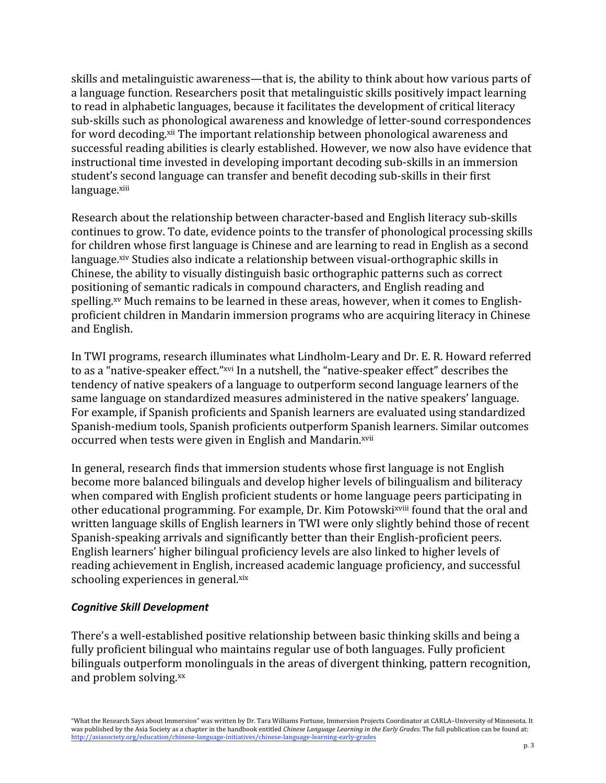skills and metalinguistic awareness—that is, the ability to think about how various parts of a language function. Researchers posit that metalinguistic skills positively impact learning to read in alphabetic languages, because it facilitates the development of critical literacy sub‐skills
such
as
phonological
awareness
and
knowledge of
letter‐sound
correspondences for word decoding.<sup>xii</sup> The important relationship between phonological awareness and successful reading abilities is clearly established. However, we now also have evidence that instructional
time
invested
in
developing
important
decoding
sub‐skills
in
an
immersion student's
second
language
can
transfer
and
benefit
decoding
sub‐skills
in
their
first language.xiii

Research about the relationship between character-based and English literacy sub-skills continues
to
grow.
To
date,
evidence
points
to
the
transfer
of
phonological
processing
skills for children whose first language is Chinese and are learning to read in English as a second language. <sup>xiv</sup> Studies also indicate a relationship between visual-orthographic skills in Chinese,
the
ability
to
visually
distinguish
basic
orthographic
patterns
such
as
correct positioning
of
semantic
radicals
in
compound
characters,
and
English
reading
and spelling.<sup>xv</sup> Much remains to be learned in these areas, however, when it comes to Englishproficient
children
in
Mandarin
immersion
programs
who
are
acquiring
literacy
in
Chinese and
English.

In TWI programs, research illuminates what Lindholm-Leary and Dr. E. R. Howard referred to as a "native-speaker effect."<sup>xvi</sup> In a nutshell, the "native-speaker effect" describes the tendency
of
native
speakers
of
a
language
to
outperform
second
language
learners
of
the same
language
on
standardized
measures
administered
in
the
native
speakers'
language. For
example,
if
Spanish
proficients
and
Spanish
learners
are
evaluated
using
standardized Spanish‐medium
tools,
Spanish
proficients
outperform
Spanish
learners.
Similar
outcomes occurred when tests were given in English and Mandarin.xvii

In general, research finds that immersion students whose first language is not English become
more
balanced
bilinguals
and
develop
higher
levels
of
bilingualism
and
biliteracy when
compared
with
English
proficient
students
or
home
language
peers
participating
in other educational programming. For example, Dr. Kim Potowski<sup>xviii</sup> found that the oral and written language skills of English learners in TWI were only slightly behind those of recent Spanish-speaking arrivals and significantly better than their English-proficient peers. English
learners'
higher
bilingual
proficiency
levels
are
also
linked
to
higher
levels
of reading
achievement
in
English,
increased
academic
language
proficiency,
and
successful schooling experiences in general.xix

#### *Cognitive
Skill
Development*

There's a well-established positive relationship between basic thinking skills and being a fully proficient bilingual who maintains regular use of both languages. Fully proficient bilinguals outperform monolinguals in the areas of divergent thinking, pattern recognition, and
problem
solving.xx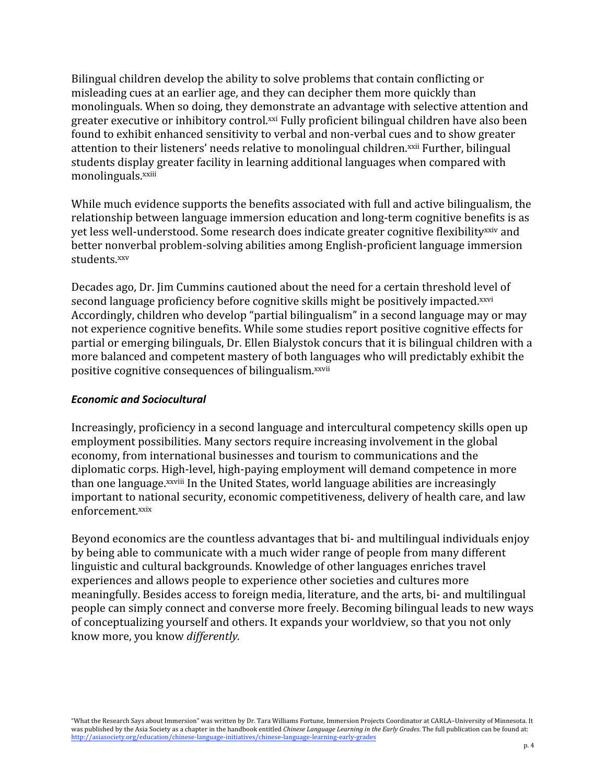Bilingual children develop the ability to solve problems that contain conflicting or misleading
cues
at
an
earlier
age,
and
they
can
decipher
them
more
quickly
than monolinguals.
When
so
doing,
they
demonstrate
an
advantage
with
selective
attention
and greater executive or inhibitory control.xxi Fully proficient bilingual children have also been found to exhibit enhanced sensitivity to verbal and non-verbal cues and to show greater attention to their listeners' needs relative to monolingual children.<sup>xxii</sup> Further, bilingual students
display
greater
facility
in
learning
additional
languages
when
compared
with monolinguals.xxiii

While much evidence supports the benefits associated with full and active bilingualism, the relationship
between
language
immersion
education
and
long‐term
cognitive
benefits
is
as vet less well-understood. Some research does indicate greater cognitive flexibility<sup>xxiv</sup> and better
nonverbal
problem‐solving
abilities
among
English‐proficient
language
immersion students.xxv

Decades ago, Dr. Jim Cummins cautioned about the need for a certain threshold level of second language proficiency before cognitive skills might be positively impacted.<sup>xxvi</sup> Accordingly, children who develop "partial bilingualism" in a second language may or may not
experience
cognitive
benefits.
While
some
studies
report
positive
cognitive
effects
for partial
or emerging bilinguals,
Dr.
Ellen
Bialystok
concurs
that
it
is
bilingual
children
with
a more
balanced
and
competent
mastery
of
both
languages
who
will
predictably
exhibit
the positive cognitive consequences of bilingualism.<sup>xxvii</sup>

#### *Economic
and
Sociocultural*

Increasingly, proficiency in a second language and intercultural competency skills open up employment
possibilities.
Many
sectors
require
increasing
involvement
in
the
global economy,
from
international
businesses
and
tourism
to
communications
and
the diplomatic
corps.
High‐level,
high‐paying
employment
will
demand
competence
in
more than one language. xxviii In the United States, world language abilities are increasingly important to national security, economic competitiveness, delivery of health care, and law enforcement.xxix

Beyond economics are the countless advantages that bi- and multilingual individuals enjoy by
being
able
to
communicate
with
a
much
wider
range
of
people
from
many
different linguistic and cultural backgrounds. Knowledge of other languages enriches travel experiences
and
allows
people
to
experience
other
societies
and
cultures
more meaningfully.
Besides
access
to
foreign
media,
literature,
and
the
arts,
bi‐ and
multilingual people
can
simply
connect
and
converse
more
freely.
Becoming
bilingual
leads
to
new
ways of
conceptualizing
yourself
and
others.
It
expands
your
worldview,
so
that
you
not
only know
more,
you
know *differently.*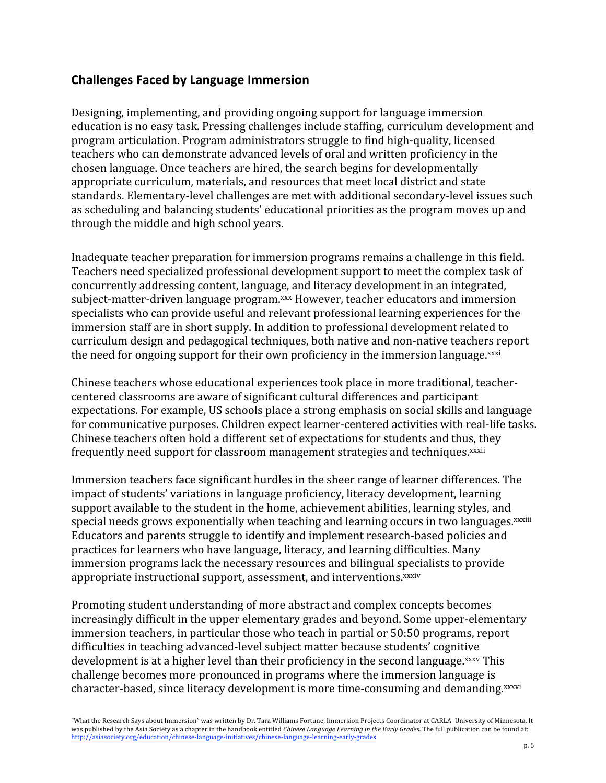## **Challenges
Faced
by
Language
Immersion**

Designing,
implementing,
and
providing
ongoing
support
for
language
immersion education
is
no
easy
task.
Pressing
challenges
include
staffing,
curriculum
development
and program
articulation.
Program
administrators
struggle
to
find
high‐quality,
licensed teachers
who
can
demonstrate
advanced
levels
of
oral
and
written
proficiency
in
the chosen
language.
Once
teachers
are
hired,
the
search
begins
for
developmentally appropriate
curriculum,
materials,
and
resources
that
meet
local
district
and
state standards.
Elementary‐level
challenges
are
met
with
additional
secondary‐level
issues such as
scheduling
and
balancing
students'
educational
priorities
as
the
program
moves
up
and through
the
middle
and
high
school
years.

Inadequate teacher preparation for immersion programs remains a challenge in this field. Teachers
need
specialized
professional
development
support
to
meet
the
complex
task
of concurrently
addressing
content,
language,
and
literacy
development
in
an
integrated, subject-matter-driven language program.<sup>xxx</sup> However, teacher educators and immersion specialists who can provide useful and relevant professional learning experiences for the immersion staff are in short supply. In addition to professional development related to curriculum
design
and
pedagogical
techniques,
both
native
and
non‐native
teachers
report the need for ongoing support for their own proficiency in the immersion language.<sup>xxxi</sup>

Chinese
teachers
whose
educational
experiences
took
place
in
more
traditional,
teacher‐ centered
classrooms
are
aware
of
significant
cultural
differences
and
participant expectations. For example, US schools place a strong emphasis on social skills and language for communicative purposes. Children expect learner-centered activities with real-life tasks. Chinese
teachers
often
hold
a
different
set
of
expectations
for
students
and
thus,
they frequently need support for classroom management strategies and techniques.<sup>xxxii</sup>

Immersion teachers face significant hurdles in the sheer range of learner differences. The impact
of
students'
variations
in
language
proficiency,
literacy
development,
learning support available to the student in the home, achievement abilities, learning styles, and special needs grows exponentially when teaching and learning occurs in two languages.<sup>xxxiii</sup> Educators
and
parents
struggle
to
identify
and
implement
research‐based
policies
and practices
for
learners
who
have
language,
literacy,
and
learning
difficulties.
Many immersion
programs
lack
the
necessary
resources
and
bilingual
specialists
to
provide appropriate instructional support, assessment, and interventions.<sup>xxxiv</sup>

Promoting student understanding of more abstract and complex concepts becomes increasingly
difficult
in
the
upper
elementary
grades
and
beyond.
Some
upper‐elementary immersion
teachers,
in
particular
those
who
teach
in
partial
or
50:50
programs,
report difficulties
in teaching
advanced‐level
subject
matter
because
students'
cognitive development is at a higher level than their proficiency in the second language.xxxv This challenge
becomes
more
pronounced
in
programs
where
the
immersion
language
is character-based, since literacy development is more time-consuming and demanding.xxxvi

"What the Research Says about Immersion" was written by Dr. Tara Williams Fortune, Immersion Projects Coordinator at CARLA-University of Minnesota. It was published by the Asia Society as a chapter in the handbook entitled *Chinese Language Learning in the Early Grades*. The full publication can be found at: http://asiasociety.org/education/chinese‐language‐initiatives/chinese‐language‐learning‐early‐grades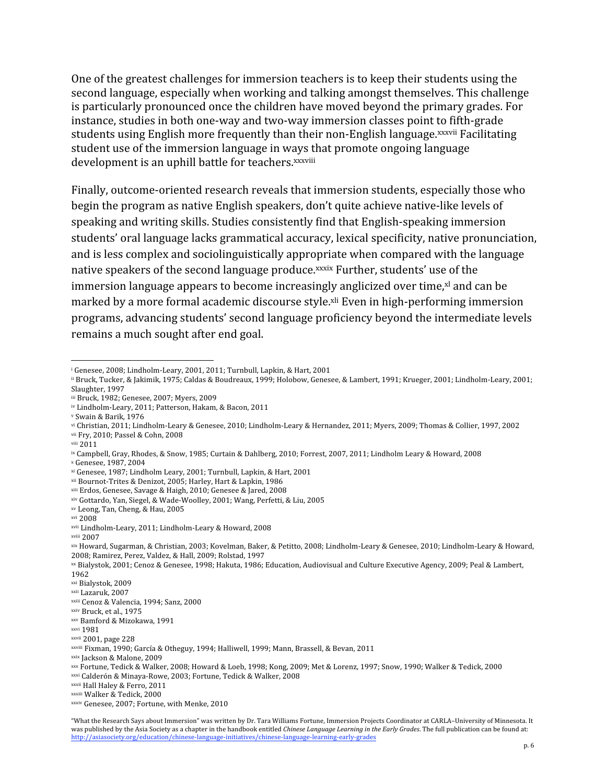One of the greatest challenges for immersion teachers is to keep their students using the second language, especially when working and talking amongst themselves. This challenge is
particularly
pronounced
once
the
children
have
moved
beyond
the
primary
grades.
For instance,
studies
in
both
one‐way
and
two‐way
immersion
classes
point
to
fifth‐grade students using English more frequently than their non-English language.<sup>xxxvii</sup> Facilitating student use of the immersion language in ways that promote ongoing language development is an uphill battle for teachers. xxxviii

Finally, outcome-oriented research reveals that immersion students, especially those who begin the program as native English speakers, don't quite achieve native-like levels of speaking
and
writing
skills.
Studies
consistently
find
that
English‐speaking
immersion students'
oral
language
lacks
grammatical
accuracy,
lexical
specificity,
native
pronunciation, and
is
less
complex
and
sociolinguistically
appropriate
when
compared
with
the
language native speakers of the second language produce.<sup>xxxix</sup> Further, students' use of the immersion language appears to become increasingly anglicized over time, xl and can be marked by a more formal academic discourse style.<sup>xli</sup> Even in high-performing immersion programs,
advancing
students'
second
language
proficiency
beyond
the
intermediate
levels remains
a
much
sought
after
end
goal.

<u> 1989 - Johann Stein, marwolaethau a bh</u>

<sup>x</sup> Genesee,
1987,
2004

<sup>&</sup>lt;sup>i</sup> Genesee, 2008; Lindholm-Leary, 2001, 2011; Turnbull, Lapkin, & Hart, 2001

ii Bruck,
Tucker,
&
Jakimik,
1975;
Caldas
&
Boudreaux,
1999;
Holobow,
Genesee,
&
Lambert,
1991;
Krueger,
2001;
Lindholm‐Leary,
2001; Slaughter,
1997

iii Bruck,
1982;
Genesee,
2007;
Myers,
2009

iv Lindholm‐Leary,
2011;
Patterson,
Hakam,
&
Bacon,
2011

<sup>v</sup> Swain
&
Barik,
1976

vi Christian, 2011; Lindholm-Leary & Genesee, 2010; Lindholm-Leary & Hernandez, 2011; Myers, 2009; Thomas & Collier, 1997, 2002 vii Fry, 2010; Passel & Cohn, 2008

viii 2011

<sup>&</sup>lt;sup>ix</sup> Campbell, Gray, Rhodes, & Snow, 1985; Curtain & Dahlberg, 2010; Forrest, 2007, 2011; Lindholm Leary & Howard, 2008

xi Genesee,
1987;
Lindholm
Leary,
2001;
Turnbull,
Lapkin,
&
Hart,
2001

xii Bournot‐Trites
&
Denizot,
2005;
Harley,
Hart
&
Lapkin,
1986

xiii Erdos,
Genesee,
Savage
&
Haigh,
2010;
Genesee
&
Jared,
2008

xiv Gottardo,
Yan,
Siegel,
&
Wade‐Woolley,
2001;
Wang,
Perfetti,
&
Liu,
2005

xv Leong,
Tan,
Cheng,
&
Hau,
2005

xvi 2008

xvii Lindholm‐Leary,
2011;
Lindholm‐Leary
&
Howard,
2008

xviii 2007

xix Howard, Sugarman, & Christian, 2003; Kovelman, Baker, & Petitto, 2008; Lindholm-Leary & Genesee, 2010; Lindholm-Leary & Howard, 2008;
Ramirez,
Perez,
Valdez,
&
Hall,
2009;
Rolstad,
1997

xx Bialystok, 2001; Cenoz & Genesee, 1998; Hakuta, 1986; Education, Audiovisual and Culture Executive Agency, 2009; Peal & Lambert,

<sup>1962</sup>

xxi Bialystok,
2009

xxii Lazaruk,
2007

xxiii Cenoz
&
Valencia,
1994;
Sanz,
2000

xxiv Bruck,
et
al.,
1975

xxv Bamford
&
Mizokawa,
1991

xxvi 1981

xxvii 2001,
page
228

xxviii Fixman,
1990;
García
&
Otheguy,
1994;
Halliwell,
1999;
Mann,
Brassell,
&
Bevan,
2011

xxix Jackson
& Malone,
2009

xxx Fortune,
Tedick
&
Walker,
2008;
Howard
&
Loeb,
1998;
Kong,
2009;
Met
&
Lorenz,
1997;
Snow,
1990;
Walker
&
Tedick,
2000

xxxi Calderón
&
Minaya‐Rowe,
2003;
Fortune,
Tedick
&
Walker,
2008

xxxii Hall
Haley
&
Ferro,
2011

xxxiii Walker
&
Tedick,
2000

xxxiv Genesee,
2007;
Fortune,
with
Menke,
2010

<sup>&</sup>quot;What the Research Says about Immersion" was written by Dr. Tara Williams Fortune, Immersion Projects Coordinator at CARLA-University of Minnesota. It was published by the Asia Society as a chapter in the handbook entitled Chinese Language Learning in the Early Grades. The full publication can be found at: http://asiasociety.org/education/chinese‐language‐initiatives/chinese‐language‐learning‐early‐grades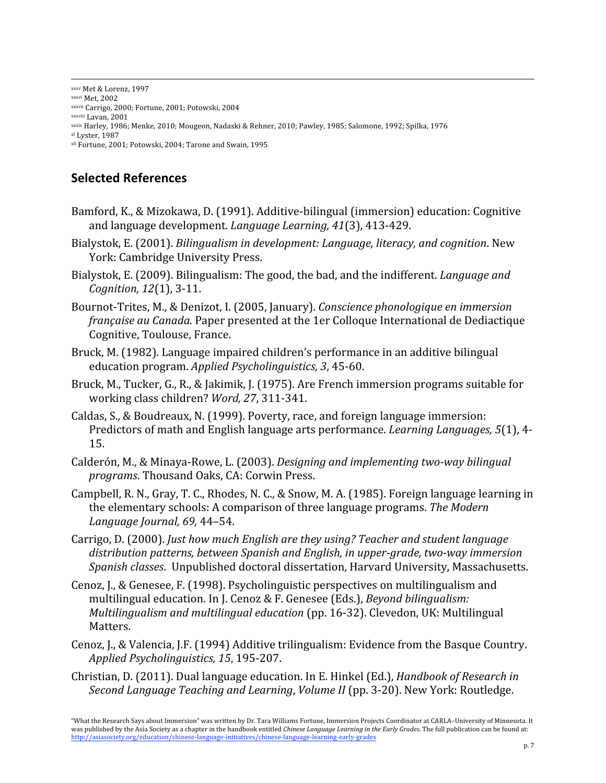xxxv Met
&
Lorenz,
1997 xxxvi Met,
2002 xxxvii Carrigo,
2000;
Fortune,
2001;
Potowski,
2004 xxxviii Lavan,
2001 xxxix Harley,
1986;
Menke,
2010;
Mougeon,
Nadaski
&
Rehner,
2010;
Pawley,
1985;
Salomone,
1992;
Spilka,
1976 xl Lyster,
1987 xli Fortune,
2001;
Potowski,
2004;
Tarone
and
Swain,
1995

# **Selected
References**

Bamford, K., & Mizokawa, D. (1991). Additive-bilingual (immersion) education: Cognitive and
language
development. *Language
Learning,
41*(3),
413‐429.

- Bialystok,
E. (2001). *Bilingualism
in
development: Language,
literacy,
and
cognition*. New York: Cambridge
University
Press.
- Bialystok, E. (2009). Bilingualism: The good, the bad, and the indifferent. *Language and Cognition,
12*(1),
3‐11.
- Bournot‐Trites,
M.,
&
Denizot,
I. (2005,
January). *Conscience
phonologique
en
immersion*  française au Canada. Paper presented at the 1er Colloque International de Dediactique Cognitive,
Toulouse,
France.
- Bruck, M. (1982). Language impaired children's performance in an additive bilingual education
program. *Applied
Psycholinguistics,
3*,
45‐60.
- Bruck, M., Tucker, G., R., & Jakimik, J. (1975). Are French immersion programs suitable for working
class
children? *Word,
27*,
311‐341.
- Caldas,
S.,
&
Boudreaux,
N.
(1999).
Poverty,
race,
and
foreign
language
immersion: Predictors of math and English language arts performance. *Learning Languages*, 5(1), 4-15.
- Calderón,
M.,
&
Minaya‐Rowe,
L. (2003). *Designing
and
implementing
two‐way
bilingual programs*.
Thousand
Oaks,
CA: Corwin
Press.
- Campbell, R. N., Gray, T. C., Rhodes, N. C., & Snow, M. A. (1985). Foreign language learning in the
elementary
schools:
A
comparison
of
three
language
programs. *The
Modern Language
Journal,
69,* 44–54.
- Carrigo,
D. (2000). *Just
how
much
English
are
they
using? Teacher
and
student
language distribution
patterns,
between
Spanish
and
English,
in
upper‐grade,
two‐way
immersion*  Spanish classes. Unpublished doctoral dissertation, Harvard University, Massachusetts.
- Cenoz,
J., &
Genesee,
F.
(1998). Psycholinguistic
perspectives
on
multilingualism
and multilingual
education. In
J.
Cenoz
& F.
Genesee
(Eds.), *Beyond
bilingualism:* Multilingualism and multilingual education (pp. 16-32). Clevedon, UK: Multilingual Matters.
- Cenoz, J., & Valencia, J.F. (1994) Additive trilingualism: Evidence from the Basque Country. *Applied
Psycholinguistics, 15*,
195‐207.
- Christian,
D.
(2011).
Dual
language
education.
In
E.
Hinkel
(Ed.), *Handbook
of
Research
in*  Second Language Teaching and Learning, Volume II (pp. 3-20). New York: Routledge.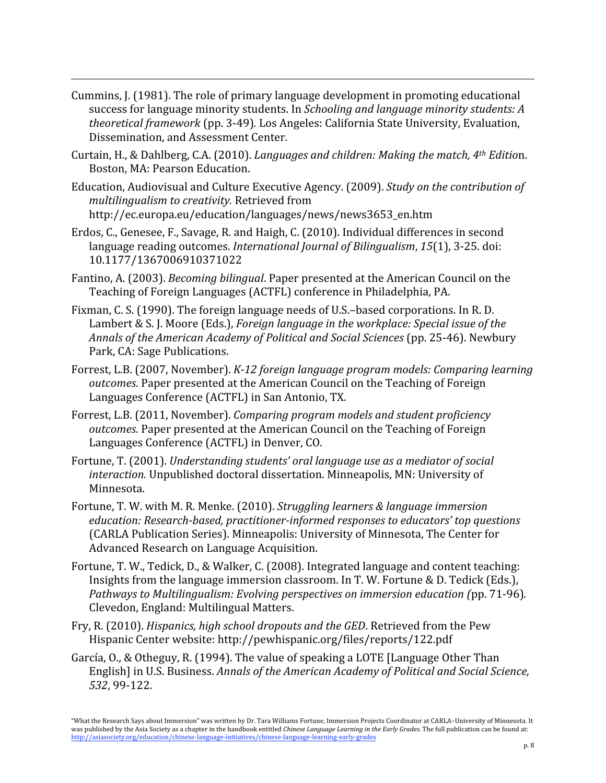Cummins,
J.
(1981).
The
role
of
primary
language
development
in
promoting
educational success for language minority students. In *Schooling and language minority students: A theoretical
framework* (pp.
3‐49)*.* Los
Angeles:
California
State
University,
Evaluation, Dissemination,
and
Assessment
Center.

- Curtain,
H.,
&
Dahlberg,
C.A. (2010). *Languages
and
children: Making
the
match,
4th Editio*n. Boston,
MA: Pearson
Education.
- Education,
Audiovisual
and
Culture
Executive
Agency.
(2009). *Study
on
the
contribution
of multilingualism
to
creativity.* Retrieved
from http://ec.europa.eu/education/languages/news/news3653\_en.htm
- Erdos,
C.,
Genesee,
F.,
Savage,
R.
and
Haigh,
C.
(2010).
Individual
differences
in
second language reading outcomes. *International Journal of Bilingualism*, 15(1), 3-25. doi: 10.1177/1367006910371022
- Fantino, A. (2003). *Becoming bilingual*. Paper presented at the American Council on the Teaching
of
Foreign
Languages (ACTFL) conference
in
Philadelphia,
PA.
- Fixman,
C.
S. (1990).
The
foreign
language
needs
of
U.S.–based
corporations. In
R.
D. Lambert
&
S.
J.
Moore
(Eds.), *Foreign
language
in
the
workplace: Special
issue
of
the Annals
of
the
American
Academy
of
Political
and
Social
Sciences* (pp.
25‐46).
Newbury Park,
CA: Sage
Publications.
- Forrest, L.B. (2007, November). *K-12 foreign language program models: Comparing learning* outcomes. Paper presented at the American Council on the Teaching of Foreign Languages
Conference
(ACTFL)
in
San
Antonio,
TX.
- Forrest,
L.B. (2011,
November). *Comparing
program
models
and
student
proficiency*  outcomes. Paper presented at the American Council on the Teaching of Foreign Languages
Conference
(ACTFL)
in
Denver,
CO.
- Fortune,
T.
(2001). *Understanding
students'
oral
language
use
as
a
mediator
of
social*  interaction. Unpublished doctoral dissertation. Minneapolis, MN: University of Minnesota.
- Fortune,
T. W.
with
M.
R.
Menke.
(2010). *Struggling
learners
&
language
immersion*  education: Research-based, practitioner-informed responses to educators' top questions (CARLA
Publication
Series).
Minneapolis:
University
of
Minnesota,
The
Center
for Advanced
Research
on
Language
Acquisition.
- Fortune, T. W., Tedick, D., & Walker, C. (2008). Integrated language and content teaching: Insights from the language immersion classroom. In T. W. Fortune & D. Tedick (Eds.), Pathways to Multilingualism: Evolving perspectives on immersion education (pp. 71-96). Clevedon,
England:
Multilingual
Matters.
- Fry,
R.
(2010). *Hispanics,
high
school
dropouts
and
the
GED*.
Retrieved
from the
Pew Hispanic
Center
website:
http://pewhispanic.org/files/reports/122.pdf
- García, O., & Otheguy, R. (1994). The value of speaking a LOTE [Language Other Than English] in U.S. Business. Annals of the American Academy of Political and Social Science, *532*,
99‐122.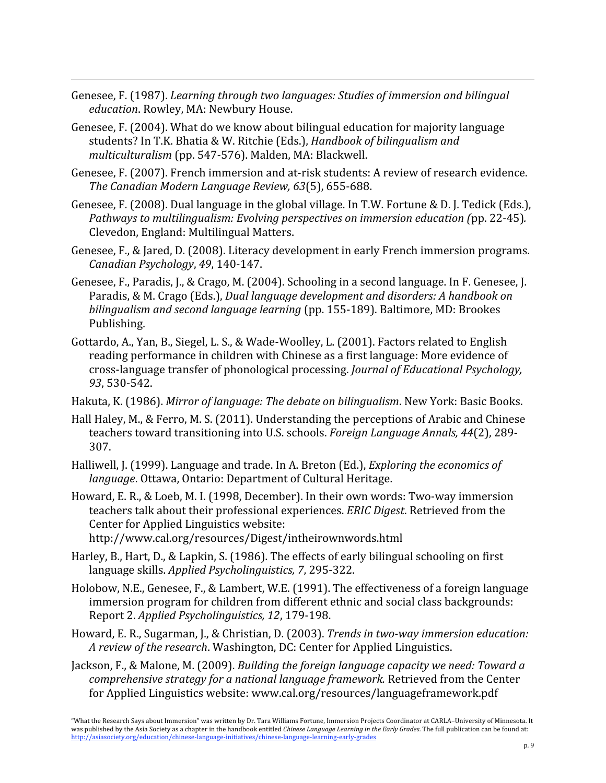Genesee, F. (1987). *Learning through two languages: Studies of immersion and bilingual education*.
Rowley,
MA:
Newbury
House.

<u> 1989 - Andrea Santa Andrea Andrea Andrea Andrea Andrea Andrea Andrea Andrea Andrea Andrea Andrea Andrea Andr</u>

- Genesee,
F.
(2004).
What
do
we
know
about
bilingual
education
for
majority
language students?
In
T.K.
Bhatia
&
W.
Ritchie
(Eds.), *Handbook
of
bilingualism
and multiculturalism* (pp.
547‐576).
Malden,
MA:
Blackwell.
- Genesee, F. (2007). French immersion and at-risk students: A review of research evidence. *The
Canadian
Modern
Language
Review,
63*(5),
655‐688.
- Genesee, F. (2008). Dual language in the global village. In T.W. Fortune & D. J. Tedick (Eds.). Pathways to multilingualism: Evolving perspectives on immersion education (pp. 22-45). Clevedon,
England:
Multilingual
Matters.
- Genesee, F., & Jared, D. (2008). Literacy development in early French immersion programs. *Canadian
Psychology*, *49*,
140‐147.
- Genesee, F., Paradis, J., & Crago, M. (2004). Schooling in a second language. In F. Genesee, J. Paradis,
&
M.
Crago
(Eds.), *Dual
language
development
and
disorders: A
handbook
on*  bilingualism and second language learning (pp. 155-189). Baltimore, MD: Brookes Publishing.
- Gottardo, A., Yan, B., Siegel, L. S., & Wade-Woolley, L. (2001). Factors related to English reading performance in children with Chinese as a first language: More evidence of cross‐language
transfer
of
phonological
processing. *Journal
of
Educational
Psychology, 93*,
530‐542.
- Hakuta, K. (1986). Mirror of language: The debate on bilingualism. New York: Basic Books.
- Hall Haley, M., & Ferro, M. S. (2011). Understanding the perceptions of Arabic and Chinese teachers toward transitioning into U.S. schools. *Foreign Language Annals*, 44(2), 289-307.
- Halliwell,
J. (1999). Language
and
trade. In
A.
Breton
(Ed.), *Exploring
the
economics
of*  language. Ottawa, Ontario: Department of Cultural Heritage.
- Howard,
E. R., &
Loeb,
M. I.
(1998, December).
In
their
own
words:
Two‐way
immersion teachers
talk
about
their
professional
experiences. *ERIC
Digest*.
Retrieved from
the Center
for
Applied
Linguistics
website:

http://www.cal.org/resources/Digest/intheirownwords.html

- Harley, B., Hart, D., & Lapkin, S. (1986). The effects of early bilingual schooling on first language
skills. *Applied
Psycholinguistics,
7*,
295‐322.
- Holobow, N.E., Genesee, F., & Lambert, W.E. (1991). The effectiveness of a foreign language immersion program for children from different ethnic and social class backgrounds: Report
2. *Applied
Psycholinguistics,
12*,
179‐198.
- Howard,
E.
R.,
Sugarman,
J.,
&
Christian,
D. (2003). *Trends
in
two‐way
immersion
education:* A review of the research. Washington, DC: Center for Applied Linguistics.
- Jackson,
F.,
&
Malone,
M.
(2009). *Building
the
foreign
language
capacity
we
need:
Toward
a comprehensive
strategy
for
a
national
language
framework.* Retrieved
from
the
Center for
Applied
Linguistics
website:
www.cal.org/resources/languageframework.pdf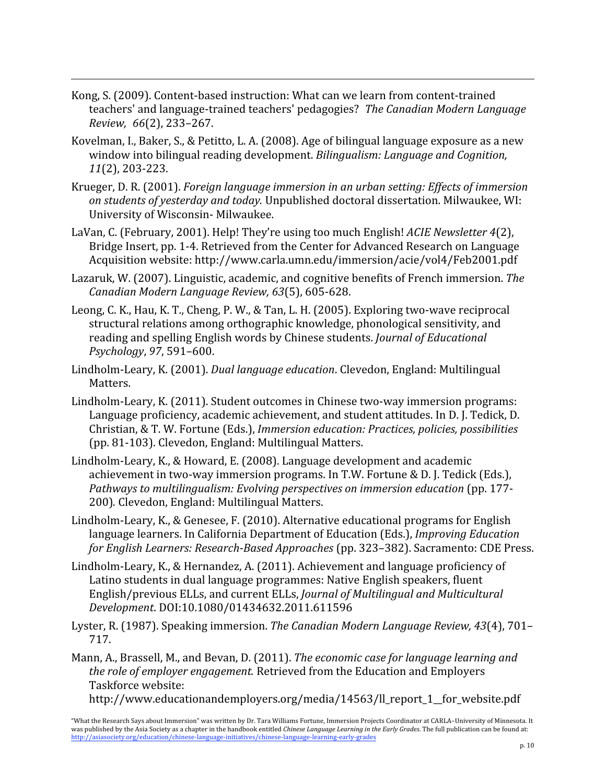Kong,
S.
(2009).
Content‐based
instruction:
What
can
we
learn
from
content‐trained teachers'
and
language‐trained
teachers'
pedagogies? *The
Canadian
Modern
Language Review, 66*(2),
233–267.

- Kovelman, I., Baker, S., & Petitto, L. A. (2008). Age of bilingual language exposure as a new window into bilingual reading development. Bilingualism: Language and Cognition, *11*(2),
203‐223.
- Krueger,
D. R.
(2001). *Foreign
language
immersion
in
an
urban
setting:
Effects
of
immersion on
students
of
yesterday
and
today.* Unpublished
doctoral
dissertation.
Milwaukee,
WI: University
of
Wisconsin‐ Milwaukee.
- LaVan,
C. (February,
2001). Help! They're
using
too
much
English! *ACIE
Newsletter
4*(2), Bridge
Insert,
pp.
1‐4. Retrieved
from the
Center
for
Advanced
Research
on
Language Acquisition
website: http://www.carla.umn.edu/immersion/acie/vol4/Feb2001.pdf
- Lazaruk, W. (2007). Linguistic, academic, and cognitive benefits of French immersion. The *Canadian
Modern
Language
Review,
63*(5),
605‐628.
- Leong, C. K., Hau, K. T., Cheng, P. W., & Tan, L. H. (2005). Exploring two-wave reciprocal structural relations among orthographic knowledge, phonological sensitivity, and reading
and
spelling
English
words
by
Chinese
students. *Journal
of
Educational Psychology*, *97*,
591–600.
- Lindholm‐Leary,
K.
(2001). *Dual
language
education*. Clevedon,
England:
Multilingual Matters.
- Lindholm-Leary, K. (2011). Student outcomes in Chinese two-way immersion programs: Language proficiency, academic achievement, and student attitudes. In D. J. Tedick, D. Christian, & T. W. Fortune (Eds.), *Immersion education: Practices, policies, possibilities* (pp.
81‐103).
Clevedon,
England:
Multilingual
Matters.
- Lindholm‐Leary,
K.,
&
Howard,
E.
(2008).
Language
development
and
academic achievement in two-way immersion programs. In T.W. Fortune & D. J. Tedick (Eds.). *Pathways
to
multilingualism:
Evolving
perspectives
on
immersion
education* (pp.
177‐ 200)*.* Clevedon,
England:
Multilingual
Matters.
- Lindholm‐Leary,
K.,
&
Genesee,
F.
(2010).
Alternative
educational
programs
for
English language learners. In California Department of Education (Eds.), *Improving Education* for English Learners: Research-Based Approaches (pp. 323-382). Sacramento: CDE Press.
- Lindholm-Leary, K., & Hernandez, A. (2011). Achievement and language proficiency of Latino students in dual language programmes: Native English speakers, fluent English/previous
ELLs,
and
current
ELLs, *Journal
of
Multilingual
and
Multicultural Development*. DOI:10.1080/01434632.2011.611596
- Lyster, R. (1987). Speaking immersion. The Canadian Modern Language Review, 43(4), 701– 717.
- Mann, A., Brassell, M., and Bevan, D. (2011). The economic case for language learning and *the
role
of
employer
engagement.* Retrieved
from
the
Education
and
Employers Taskforce
website: http://www.educationandemployers.org/media/14563/ll\_report\_1\_\_for\_website.pdf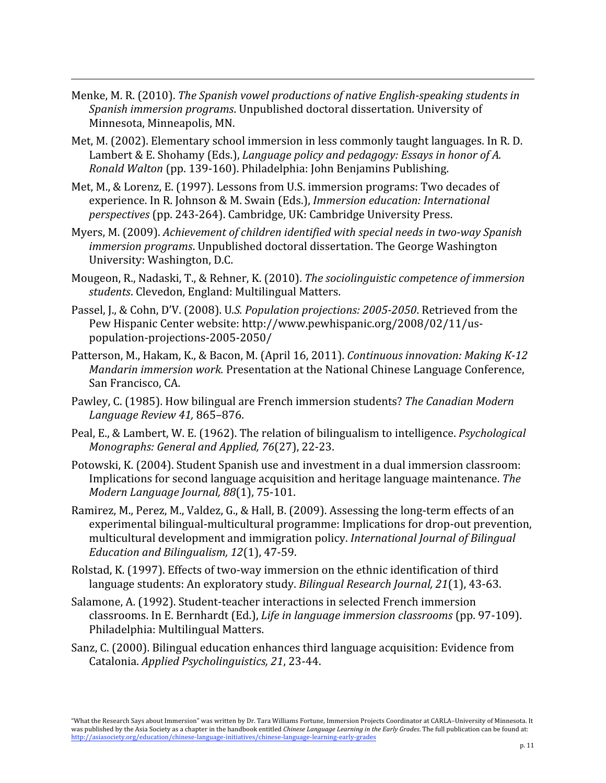Menke, M. R. (2010). *The Spanish vowel productions of native English-speaking students in* Spanish immersion programs. Unpublished doctoral dissertation. University of Minnesota,
Minneapolis,
MN.

- Met, M. (2002). Elementary school immersion in less commonly taught languages. In R. D. Lambert & E. Shohamy (Eds.), *Language policy and pedagogy: Essays in honor of A. Ronald
Walton* (pp.
139‐160). Philadelphia: John
Benjamins
Publishing.
- Met, M., & Lorenz, E. (1997). Lessons from U.S. immersion programs: Two decades of experience. In
R.
Johnson
&
M.
Swain
(Eds.), *Immersion
education: International perspectives* (pp.
243‐264). Cambridge,
UK: Cambridge
University
Press.
- Myers, M. (2009). Achievement of children identified with special needs in two-way Spanish *immersion programs*. Unpublished doctoral dissertation. The George Washington University:
Washington,
D.C.
- Mougeon, R., Nadaski, T., & Rehner, K. (2010). *The sociolinguistic competence of immersion students*.
Clevedon,
England:
Multilingual
Matters.
- Passel, J., & Cohn, D'V. (2008). U.S. Population projections: 2005-2050. Retrieved from the Pew
Hispanic
Center
website:
http://www.pewhispanic.org/2008/02/11/us‐ population‐projections‐2005‐2050/
- Patterson, M., Hakam, K., & Bacon, M. (April 16, 2011). *Continuous innovation: Making K-12* Mandarin immersion work. Presentation at the National Chinese Language Conference, San
Francisco,
CA.
- Pawley,
C.
(1985).
How
bilingual
are
French
immersion
students? *The
Canadian
Modern Language
Review
41,* 865–876.
- Peal, E., & Lambert, W. E. (1962). The relation of bilingualism to intelligence. *Psychological Monographs:
General
and
Applied,
76*(27),
22‐23.
- Potowski, K. (2004). Student Spanish use and investment in a dual immersion classroom: Implications
for
second
language
acquisition
and
heritage
language
maintenance. *The Modern
Language
Journal,
88*(1),
75‐101.
- Ramirez, M., Perez, M., Valdez, G., & Hall, B. (2009). Assessing the long-term effects of an experimental
bilingual‐multicultural
programme:
Implications
for
drop‐out
prevention, multicultural development and immigration policy. International Journal of Bilingual *Education
and
Bilingualism,
12*(1),
47‐59.
- Rolstad, K. (1997). Effects of two-way immersion on the ethnic identification of third language students: An exploratory study. Bilingual Research Journal, 21(1), 43-63.
- Salamone,
A. (1992). Student‐teacher
interactions
in
selected
French
immersion classrooms. In
E.
Bernhardt
(Ed.), *Life
in
language
immersion
classrooms* (pp.
97‐109). Philadelphia: Multilingual
Matters.
- Sanz,
C.
(2000).
Bilingual
education
enhances
third
language
acquisition:
Evidence
from Catalonia. *Applied
Psycholinguistics,
21*,
23‐44.